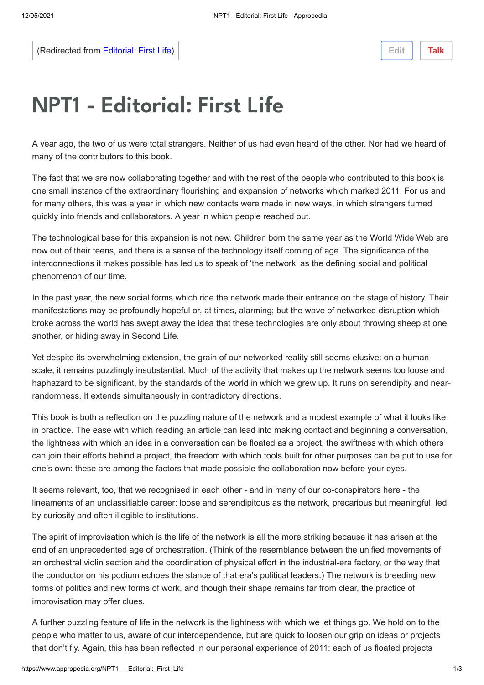(Redirected from [Editorial: First Life\)](https://www.appropedia.org/w/index.php?title=Editorial:_First_Life&redirect=no)

**[Edit](https://www.appropedia.org/w/index.php?title=NPT1_-_Editorial:_First_Life&veaction=edit) [Talk](https://www.appropedia.org/w/index.php?title=Talk:NPT1_-_Editorial:_First_Life&action=edit&redlink=1)**

## NPT1 - Editorial: First Life

A year ago, the two of us were total strangers. Neither of us had even heard of the other. Nor had we heard of many of the contributors to this book.

The fact that we are now collaborating together and with the rest of the people who contributed to this book is one small instance of the extraordinary flourishing and expansion of networks which marked 2011. For us and for many others, this was a year in which new contacts were made in new ways, in which strangers turned quickly into friends and collaborators. A year in which people reached out.

The technological base for this expansion is not new. Children born the same year as the World Wide Web are now out of their teens, and there is a sense of the technology itself coming of age. The significance of the interconnections it makes possible has led us to speak of 'the network' as the defining social and political phenomenon of our time.

In the past year, the new social forms which ride the network made their entrance on the stage of history. Their manifestations may be profoundly hopeful or, at times, alarming; but the wave of networked disruption which broke across the world has swept away the idea that these technologies are only about throwing sheep at one another, or hiding away in Second Life.

Yet despite its overwhelming extension, the grain of our networked reality still seems elusive: on a human scale, it remains puzzlingly insubstantial. Much of the activity that makes up the network seems too loose and haphazard to be significant, by the standards of the world in which we grew up. It runs on serendipity and nearrandomness. It extends simultaneously in contradictory directions.

This book is both a reflection on the puzzling nature of the network and a modest example of what it looks like in practice. The ease with which reading an article can lead into making contact and beginning a conversation, the lightness with which an idea in a conversation can be floated as a project, the swiftness with which others can join their efforts behind a project, the freedom with which tools built for other purposes can be put to use for one's own: these are among the factors that made possible the collaboration now before your eyes.

It seems relevant, too, that we recognised in each other - and in many of our co-conspirators here - the lineaments of an unclassifiable career: loose and serendipitous as the network, precarious but meaningful, led by curiosity and often illegible to institutions.

The spirit of improvisation which is the life of the network is all the more striking because it has arisen at the end of an unprecedented age of orchestration. (Think of the resemblance between the unified movements of an orchestral violin section and the coordination of physical effort in the industrial-era factory, or the way that the conductor on his podium echoes the stance of that era's political leaders.) The network is breeding new forms of politics and new forms of work, and though their shape remains far from clear, the practice of improvisation may offer clues.

A further puzzling feature of life in the network is the lightness with which we let things go. We hold on to the people who matter to us, aware of our interdependence, but are quick to loosen our grip on ideas or projects that don't fly. Again, this has been reflected in our personal experience of 2011: each of us floated projects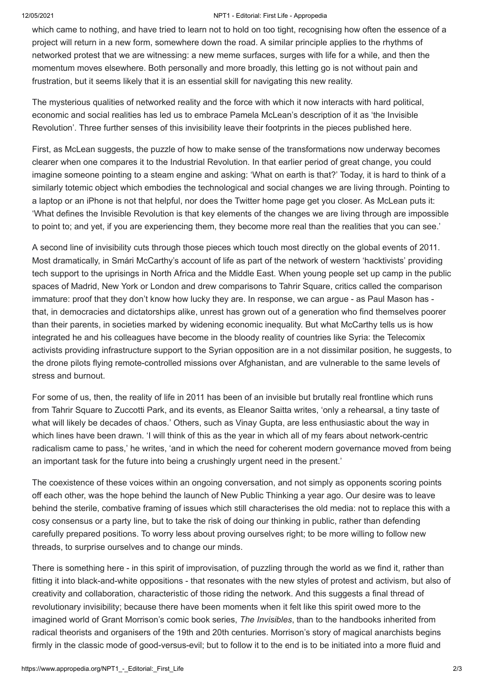## 12/05/2021 NPT1 - Editorial: First Life - Appropedia

which came to nothing, and have tried to learn not to hold on too tight, recognising how often the essence of a project will return in a new form, somewhere down the road. A similar principle applies to the rhythms of networked protest that we are witnessing: a new meme surfaces, surges with life for a while, and then the momentum moves elsewhere. Both personally and more broadly, this letting go is not without pain and frustration, but it seems likely that it is an essential skill for navigating this new reality.

The mysterious qualities of networked reality and the force with which it now interacts with hard political, economic and social realities has led us to embrace Pamela McLean's description of it as 'the Invisible Revolution'. Three further senses of this invisibility leave their footprints in the pieces published here.

First, as McLean suggests, the puzzle of how to make sense of the transformations now underway becomes clearer when one compares it to the Industrial Revolution. In that earlier period of great change, you could imagine someone pointing to a steam engine and asking: 'What on earth is that?' Today, it is hard to think of a similarly totemic object which embodies the technological and social changes we are living through. Pointing to a laptop or an iPhone is not that helpful, nor does the Twitter home page get you closer. As McLean puts it: 'What defines the Invisible Revolution is that key elements of the changes we are living through are impossible to point to; and yet, if you are experiencing them, they become more real than the realities that you can see.'

A second line of invisibility cuts through those pieces which touch most directly on the global events of 2011. Most dramatically, in Smári McCarthy's account of life as part of the network of western 'hacktivists' providing tech support to the uprisings in North Africa and the Middle East. When young people set up camp in the public spaces of Madrid, New York or London and drew comparisons to Tahrir Square, critics called the comparison immature: proof that they don't know how lucky they are. In response, we can argue - as Paul Mason has that, in democracies and dictatorships alike, unrest has grown out of a generation who find themselves poorer than their parents, in societies marked by widening economic inequality. But what McCarthy tells us is how integrated he and his colleagues have become in the bloody reality of countries like Syria: the Telecomix activists providing infrastructure support to the Syrian opposition are in a not dissimilar position, he suggests, to the drone pilots flying remote-controlled missions over Afghanistan, and are vulnerable to the same levels of stress and burnout.

For some of us, then, the reality of life in 2011 has been of an invisible but brutally real frontline which runs from Tahrir Square to Zuccotti Park, and its events, as Eleanor Saitta writes, 'only a rehearsal, a tiny taste of what will likely be decades of chaos.' Others, such as Vinay Gupta, are less enthusiastic about the way in which lines have been drawn. 'I will think of this as the year in which all of my fears about network-centric radicalism came to pass,' he writes, 'and in which the need for coherent modern governance moved from being an important task for the future into being a crushingly urgent need in the present.'

The coexistence of these voices within an ongoing conversation, and not simply as opponents scoring points off each other, was the hope behind the launch of New Public Thinking a year ago. Our desire was to leave behind the sterile, combative framing of issues which still characterises the old media: not to replace this with a cosy consensus or a party line, but to take the risk of doing our thinking in public, rather than defending carefully prepared positions. To worry less about proving ourselves right; to be more willing to follow new threads, to surprise ourselves and to change our minds.

There is something here - in this spirit of improvisation, of puzzling through the world as we find it, rather than fitting it into black-and-white oppositions - that resonates with the new styles of protest and activism, but also of creativity and collaboration, characteristic of those riding the network. And this suggests a final thread of revolutionary invisibility; because there have been moments when it felt like this spirit owed more to the imagined world of Grant Morrison's comic book series, *The Invisibles*, than to the handbooks inherited from radical theorists and organisers of the 19th and 20th centuries. Morrison's story of magical anarchists begins firmly in the classic mode of good-versus-evil; but to follow it to the end is to be initiated into a more fluid and